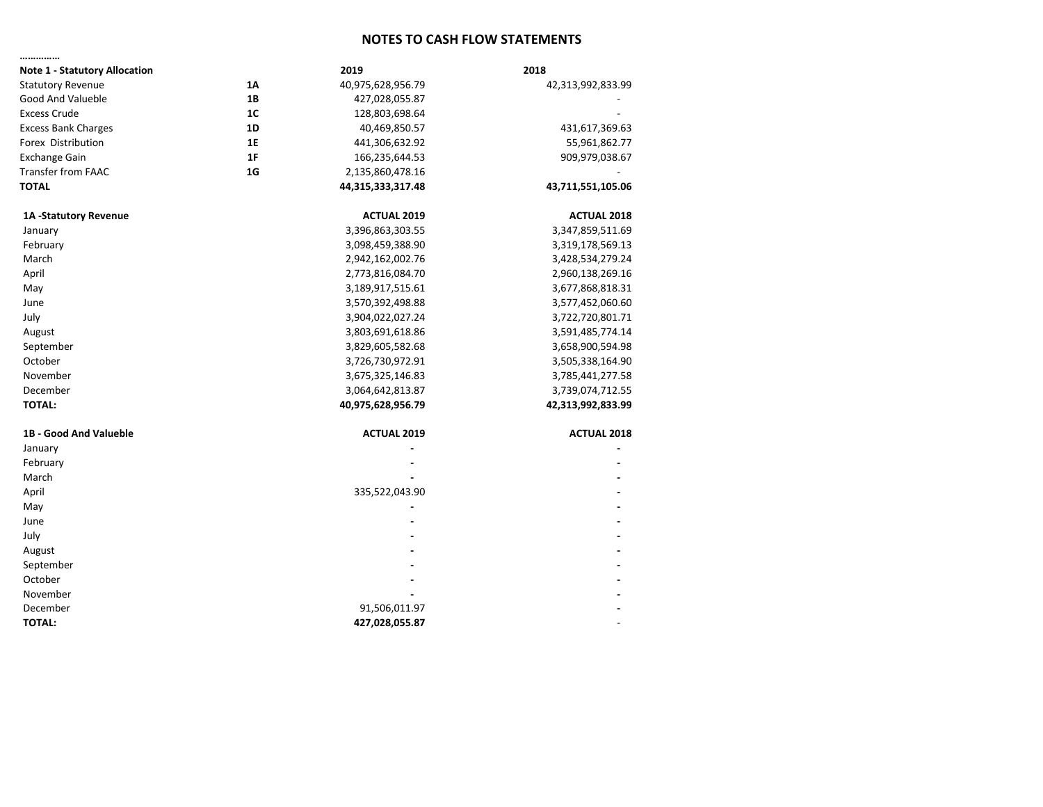## **NOTES TO CASH FLOW STATEMENTS**

| <b>Note 1 - Statutory Allocation</b> |                | 2019               | 2018               |
|--------------------------------------|----------------|--------------------|--------------------|
| <b>Statutory Revenue</b>             | 1A             | 40,975,628,956.79  | 42,313,992,833.99  |
| Good And Valueble                    | 1B             | 427,028,055.87     |                    |
| <b>Excess Crude</b>                  | 1 <sup>C</sup> | 128,803,698.64     |                    |
| <b>Excess Bank Charges</b>           | 1D             | 40,469,850.57      | 431,617,369.63     |
| Forex Distribution                   | <b>1E</b>      | 441,306,632.92     | 55,961,862.77      |
| <b>Exchange Gain</b>                 | 1F             | 166,235,644.53     | 909,979,038.67     |
| <b>Transfer from FAAC</b>            | 1 <sub>G</sub> | 2,135,860,478.16   |                    |
| <b>TOTAL</b>                         |                | 44,315,333,317.48  | 43,711,551,105.06  |
| 1A -Statutory Revenue                |                | <b>ACTUAL 2019</b> | <b>ACTUAL 2018</b> |
| January                              |                | 3,396,863,303.55   | 3,347,859,511.69   |
| February                             |                | 3,098,459,388.90   | 3,319,178,569.13   |
| March                                |                | 2,942,162,002.76   | 3,428,534,279.24   |
| April                                |                | 2,773,816,084.70   | 2,960,138,269.16   |
| May                                  |                | 3,189,917,515.61   | 3,677,868,818.31   |
| June                                 |                | 3,570,392,498.88   | 3,577,452,060.60   |
| July                                 |                | 3,904,022,027.24   | 3,722,720,801.71   |
| August                               |                | 3,803,691,618.86   | 3,591,485,774.14   |
| September                            |                | 3,829,605,582.68   | 3,658,900,594.98   |
| October                              |                | 3,726,730,972.91   | 3,505,338,164.90   |
| November                             |                | 3,675,325,146.83   | 3,785,441,277.58   |
| December                             |                | 3,064,642,813.87   | 3,739,074,712.55   |
| <b>TOTAL:</b>                        |                | 40,975,628,956.79  | 42,313,992,833.99  |
| 1B - Good And Valueble               |                | <b>ACTUAL 2019</b> | <b>ACTUAL 2018</b> |
| January                              |                |                    |                    |
| February                             |                |                    |                    |
| March                                |                |                    |                    |
| April                                |                | 335,522,043.90     |                    |
| May                                  |                |                    |                    |
| June                                 |                |                    |                    |
| July                                 |                |                    |                    |
| August                               |                |                    |                    |
| September                            |                |                    |                    |
| October                              |                |                    |                    |
| November                             |                |                    |                    |
| December                             |                | 91,506,011.97      |                    |
| <b>TOTAL:</b>                        |                | 427,028,055.87     |                    |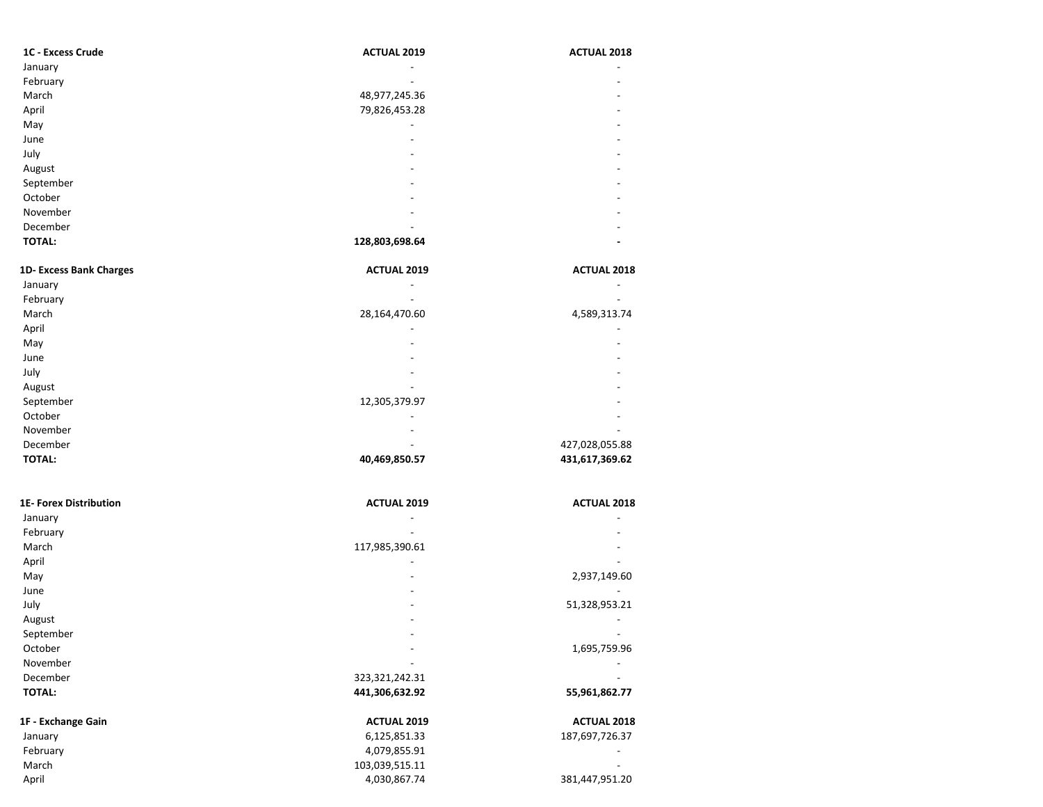| 1C - Excess Crude | <b>ACTUAL 2019</b> | <b>ACTUAL 2018</b>       |
|-------------------|--------------------|--------------------------|
| January           |                    | -                        |
| February          |                    |                          |
| March             | 48,977,245.36      | $\overline{\phantom{0}}$ |
| April             | 79,826,453.28      | -                        |
| May               |                    |                          |
| June              |                    |                          |
| July              | -                  |                          |
| August            |                    |                          |
| September         |                    | $\overline{\phantom{0}}$ |
| October           | -                  | ۰                        |
| November          | -                  |                          |
| December          |                    |                          |
| <b>TOTAL:</b>     | 128,803,698.64     |                          |

| 1D- Excess Bank Charges | <b>ACTUAL 2019</b> | <b>ACTUAL 2018</b> |
|-------------------------|--------------------|--------------------|
| January                 |                    |                    |
| February                |                    |                    |
| March                   | 28,164,470.60      | 4,589,313.74       |
| April                   | -                  |                    |
| May                     |                    |                    |
| June                    | -                  |                    |
| July                    | -                  |                    |
| August                  |                    |                    |
| September               | 12,305,379.97      |                    |
| October                 |                    |                    |
| November                | -                  |                    |
| December                | -                  | 427,028,055.88     |
| <b>TOTAL:</b>           | 40,469,850.57      | 431,617,369.62     |

| <b>1E- Forex Distribution</b> | <b>ACTUAL 2019</b> | <b>ACTUAL 2018</b>                            |
|-------------------------------|--------------------|-----------------------------------------------|
| January                       |                    | 2,937,149.60<br>51,328,953.21<br>1,695,759.96 |
| February                      |                    |                                               |
| March                         | 117,985,390.61     |                                               |
| April                         |                    |                                               |
| May                           |                    |                                               |
| June                          |                    |                                               |
| July                          |                    |                                               |
| August                        |                    |                                               |
| September<br>October          |                    |                                               |
|                               |                    |                                               |
| December                      |                    |                                               |
| <b>TOTAL:</b>                 | 441,306,632.92     | 55,961,862.77                                 |
| 1F - Exchange Gain            | <b>ACTUAL 2019</b> | <b>ACTUAL 2018</b>                            |
| January                       | 6,125,851.33       | 187,697,726.37                                |
| February                      | 4,079,855.91       |                                               |
| March                         | 103,039,515.11     |                                               |
| April                         | 4,030,867.74       | 381,447,951.20                                |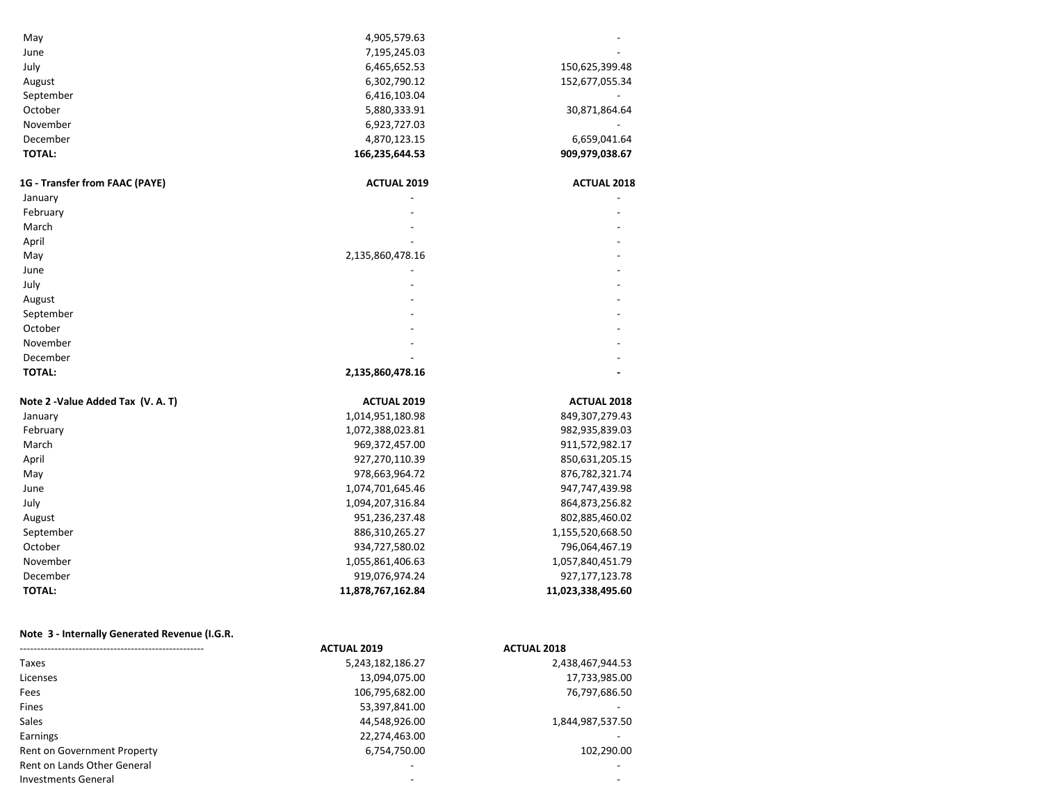| May                            | 4,905,579.63       |                    |
|--------------------------------|--------------------|--------------------|
| June                           | 7,195,245.03       |                    |
| July                           | 6,465,652.53       | 150,625,399.48     |
| August                         | 6,302,790.12       | 152,677,055.34     |
| September                      | 6,416,103.04       |                    |
| October                        | 5,880,333.91       | 30,871,864.64      |
| November                       | 6,923,727.03       |                    |
| December                       | 4,870,123.15       | 6,659,041.64       |
| <b>TOTAL:</b>                  | 166,235,644.53     | 909,979,038.67     |
| 1G - Transfer from FAAC (PAYE) | <b>ACTUAL 2019</b> | <b>ACTUAL 2018</b> |
| January                        |                    |                    |
| February                       |                    |                    |
| March                          |                    |                    |
| April                          |                    |                    |
| May                            | 2,135,860,478.16   |                    |
| June                           |                    |                    |
| July                           |                    |                    |
| August                         |                    |                    |
| September                      |                    |                    |
| October                        |                    |                    |
| November                       |                    |                    |
| December                       |                    |                    |
| <b>TOTAL:</b>                  | 2,135,860,478.16   |                    |

| Note 2 -Value Added Tax (V. A. T) | <b>ACTUAL 2019</b> | <b>ACTUAL 2018</b> |
|-----------------------------------|--------------------|--------------------|
| January                           | 1,014,951,180.98   | 849,307,279.43     |
| February                          | 1,072,388,023.81   | 982,935,839.03     |
| March                             | 969,372,457.00     | 911,572,982.17     |
| April                             | 927,270,110.39     | 850,631,205.15     |
| May                               | 978,663,964.72     | 876,782,321.74     |
| June                              | 1,074,701,645.46   | 947,747,439.98     |
| July                              | 1,094,207,316.84   | 864,873,256.82     |
| August                            | 951,236,237.48     | 802,885,460.02     |
| September                         | 886,310,265.27     | 1,155,520,668.50   |
| October                           | 934,727,580.02     | 796,064,467.19     |
| November                          | 1,055,861,406.63   | 1,057,840,451.79   |
| December                          | 919,076,974.24     | 927,177,123.78     |
| <b>TOTAL:</b>                     | 11,878,767,162.84  | 11,023,338,495.60  |

## **Note 3 - Internally Generated Revenue (I.G.R.)**

|                             | <b>ACTUAL 2019</b> | <b>ACTUAL 2018</b> |
|-----------------------------|--------------------|--------------------|
| Taxes                       | 5,243,182,186.27   | 2,438,467,944.53   |
| Licenses                    | 13,094,075.00      | 17,733,985.00      |
| Fees                        | 106,795,682.00     | 76,797,686.50      |
| Fines                       | 53,397,841.00      |                    |
| <b>Sales</b>                | 44,548,926.00      | 1,844,987,537.50   |
| Earnings                    | 22,274,463.00      |                    |
| Rent on Government Property | 6,754,750.00       | 102,290.00         |
| Rent on Lands Other General |                    |                    |
| Investments General         | -                  |                    |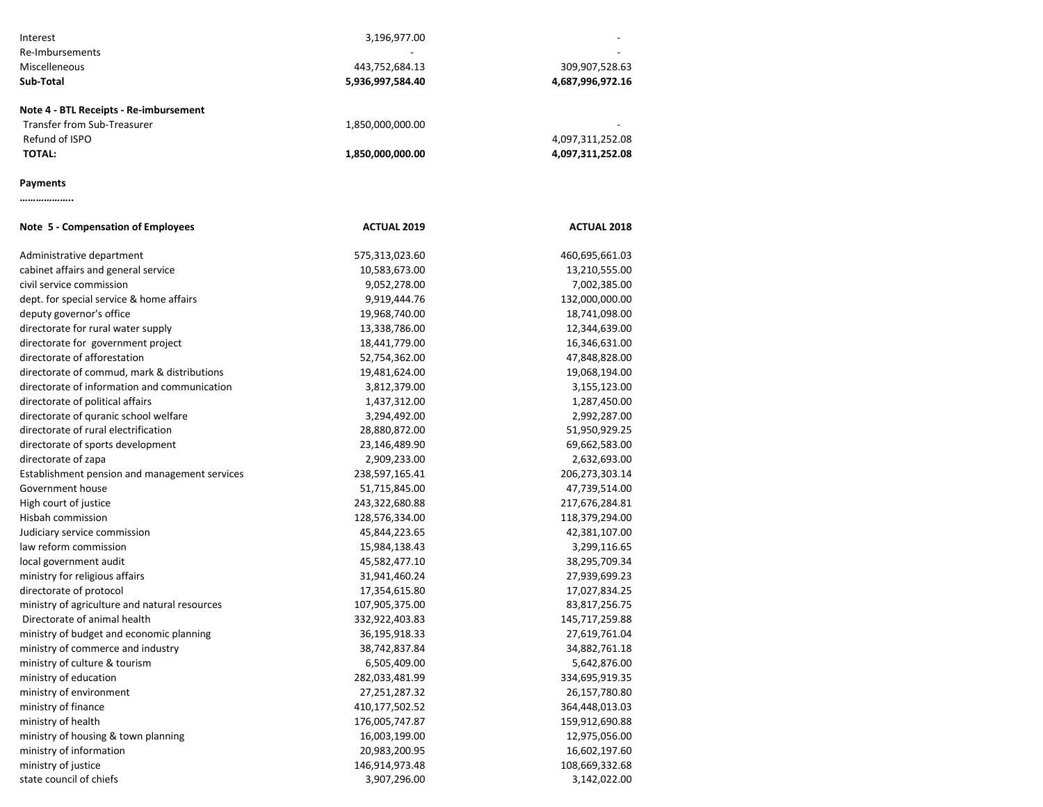| Interest                                      | 3,196,977.00       |                    |
|-----------------------------------------------|--------------------|--------------------|
| Re-Imbursements                               |                    |                    |
| Miscelleneous                                 | 443,752,684.13     | 309,907,528.63     |
| Sub-Total                                     | 5,936,997,584.40   | 4,687,996,972.16   |
| Note 4 - BTL Receipts - Re-imbursement        |                    |                    |
| Transfer from Sub-Treasurer                   | 1,850,000,000.00   |                    |
| Refund of ISPO                                |                    | 4,097,311,252.08   |
| <b>TOTAL:</b>                                 | 1,850,000,000.00   | 4,097,311,252.08   |
| Payments                                      |                    |                    |
|                                               |                    |                    |
| Note 5 - Compensation of Employees            | <b>ACTUAL 2019</b> | <b>ACTUAL 2018</b> |
| Administrative department                     | 575,313,023.60     | 460,695,661.03     |
| cabinet affairs and general service           | 10,583,673.00      | 13,210,555.00      |
| civil service commission                      | 9,052,278.00       | 7,002,385.00       |
| dept. for special service & home affairs      | 9,919,444.76       | 132,000,000.00     |
| deputy governor's office                      | 19,968,740.00      | 18,741,098.00      |
| directorate for rural water supply            | 13,338,786.00      | 12,344,639.00      |
| directorate for government project            | 18,441,779.00      | 16,346,631.00      |
| directorate of afforestation                  | 52,754,362.00      | 47,848,828.00      |
| directorate of commud, mark & distributions   | 19,481,624.00      | 19,068,194.00      |
| directorate of information and communication  | 3,812,379.00       | 3,155,123.00       |
| directorate of political affairs              | 1,437,312.00       | 1,287,450.00       |
| directorate of quranic school welfare         | 3,294,492.00       | 2,992,287.00       |
| directorate of rural electrification          | 28,880,872.00      | 51,950,929.25      |
| directorate of sports development             | 23,146,489.90      | 69,662,583.00      |
| directorate of zapa                           | 2,909,233.00       | 2,632,693.00       |
| Establishment pension and management services | 238,597,165.41     | 206,273,303.14     |
| Government house                              | 51,715,845.00      | 47,739,514.00      |
| High court of justice                         | 243,322,680.88     | 217,676,284.81     |
| Hisbah commission                             | 128,576,334.00     | 118,379,294.00     |
| Judiciary service commission                  | 45,844,223.65      | 42,381,107.00      |
| law reform commission                         | 15,984,138.43      | 3,299,116.65       |
| local government audit                        | 45,582,477.10      | 38,295,709.34      |
| ministry for religious affairs                | 31,941,460.24      | 27,939,699.23      |
| directorate of protocol                       | 17,354,615.80      | 17,027,834.25      |
| ministry of agriculture and natural resources | 107,905,375.00     | 83,817,256.75      |
| Directorate of animal health                  | 332,922,403.83     | 145,717,259.88     |
| ministry of budget and economic planning      | 36,195,918.33      | 27,619,761.04      |
| ministry of commerce and industry             | 38,742,837.84      | 34,882,761.18      |
| ministry of culture & tourism                 | 6,505,409.00       | 5,642,876.00       |
| ministry of education                         | 282,033,481.99     | 334,695,919.35     |
| ministry of environment                       | 27,251,287.32      | 26,157,780.80      |
| ministry of finance                           | 410,177,502.52     | 364,448,013.03     |
| ministry of health                            | 176,005,747.87     | 159,912,690.88     |
| ministry of housing & town planning           | 16,003,199.00      | 12,975,056.00      |
| ministry of information                       | 20,983,200.95      | 16,602,197.60      |
| ministry of justice                           | 146,914,973.48     | 108,669,332.68     |
| state council of chiefs                       | 3,907,296.00       | 3,142,022.00       |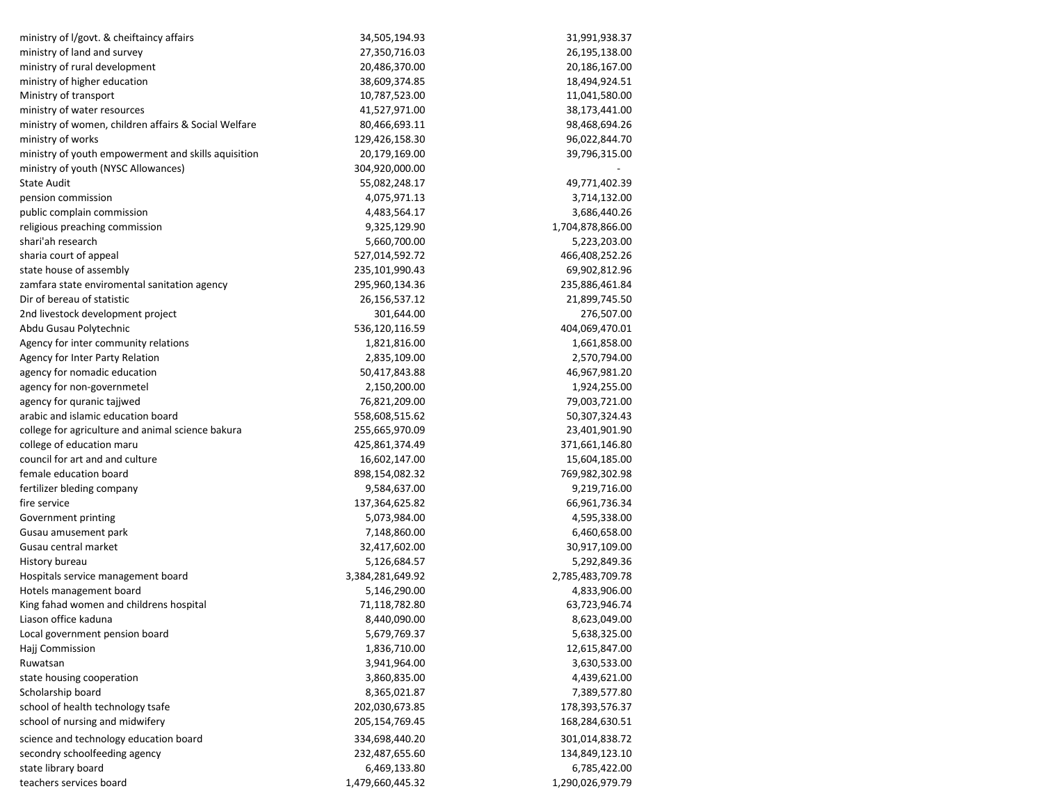| ministry of I/govt. & cheiftaincy affairs            | 34,505,194.93    | 31,991,938.37    |
|------------------------------------------------------|------------------|------------------|
| ministry of land and survey                          | 27,350,716.03    | 26,195,138.00    |
| ministry of rural development                        | 20,486,370.00    | 20,186,167.00    |
| ministry of higher education                         | 38,609,374.85    | 18,494,924.51    |
| Ministry of transport                                | 10,787,523.00    | 11,041,580.00    |
| ministry of water resources                          | 41,527,971.00    | 38,173,441.00    |
| ministry of women, children affairs & Social Welfare | 80,466,693.11    | 98,468,694.26    |
| ministry of works                                    | 129,426,158.30   | 96,022,844.70    |
| ministry of youth empowerment and skills aquisition  | 20,179,169.00    | 39,796,315.00    |
| ministry of youth (NYSC Allowances)                  | 304,920,000.00   |                  |
| <b>State Audit</b>                                   | 55,082,248.17    | 49,771,402.39    |
| pension commission                                   | 4,075,971.13     | 3,714,132.00     |
| public complain commission                           | 4,483,564.17     | 3,686,440.26     |
| religious preaching commission                       | 9,325,129.90     | 1,704,878,866.00 |
| shari'ah research                                    | 5,660,700.00     | 5,223,203.00     |
| sharia court of appeal                               | 527,014,592.72   | 466,408,252.26   |
| state house of assembly                              | 235,101,990.43   | 69,902,812.96    |
| zamfara state enviromental sanitation agency         | 295,960,134.36   | 235,886,461.84   |
| Dir of bereau of statistic                           | 26,156,537.12    | 21,899,745.50    |
| 2nd livestock development project                    | 301,644.00       | 276,507.00       |
| Abdu Gusau Polytechnic                               | 536,120,116.59   | 404,069,470.01   |
| Agency for inter community relations                 | 1,821,816.00     | 1,661,858.00     |
| Agency for Inter Party Relation                      | 2,835,109.00     | 2,570,794.00     |
| agency for nomadic education                         | 50,417,843.88    | 46,967,981.20    |
| agency for non-governmetel                           | 2,150,200.00     | 1,924,255.00     |
| agency for quranic tajjwed                           | 76,821,209.00    | 79,003,721.00    |
| arabic and islamic education board                   | 558,608,515.62   | 50,307,324.43    |
| college for agriculture and animal science bakura    | 255,665,970.09   | 23,401,901.90    |
| college of education maru                            | 425,861,374.49   | 371,661,146.80   |
| council for art and and culture                      | 16,602,147.00    | 15,604,185.00    |
| female education board                               | 898,154,082.32   | 769,982,302.98   |
| fertilizer bleding company                           | 9,584,637.00     | 9,219,716.00     |
| fire service                                         | 137,364,625.82   | 66,961,736.34    |
| Government printing                                  | 5,073,984.00     | 4,595,338.00     |
| Gusau amusement park                                 | 7,148,860.00     | 6,460,658.00     |
| Gusau central market                                 | 32,417,602.00    | 30,917,109.00    |
| History bureau                                       | 5,126,684.57     | 5,292,849.36     |
| Hospitals service management board                   | 3,384,281,649.92 | 2,785,483,709.78 |
| Hotels management board                              | 5,146,290.00     | 4,833,906.00     |
| King fahad women and childrens hospital              | 71,118,782.80    | 63,723,946.74    |
| Liason office kaduna                                 | 8,440,090.00     | 8,623,049.00     |
| Local government pension board                       | 5,679,769.37     | 5,638,325.00     |
| Hajj Commission                                      | 1,836,710.00     | 12,615,847.00    |
| Ruwatsan                                             | 3,941,964.00     | 3,630,533.00     |
| state housing cooperation                            | 3,860,835.00     | 4,439,621.00     |
| Scholarship board                                    | 8,365,021.87     | 7,389,577.80     |
| school of health technology tsafe                    | 202,030,673.85   | 178,393,576.37   |
| school of nursing and midwifery                      | 205,154,769.45   | 168,284,630.51   |
| science and technology education board               | 334,698,440.20   | 301,014,838.72   |
| secondry schoolfeeding agency                        | 232,487,655.60   | 134,849,123.10   |
| state library board                                  | 6,469,133.80     | 6,785,422.00     |
| teachers services board                              | 1,479,660,445.32 | 1,290,026,979.79 |
|                                                      |                  |                  |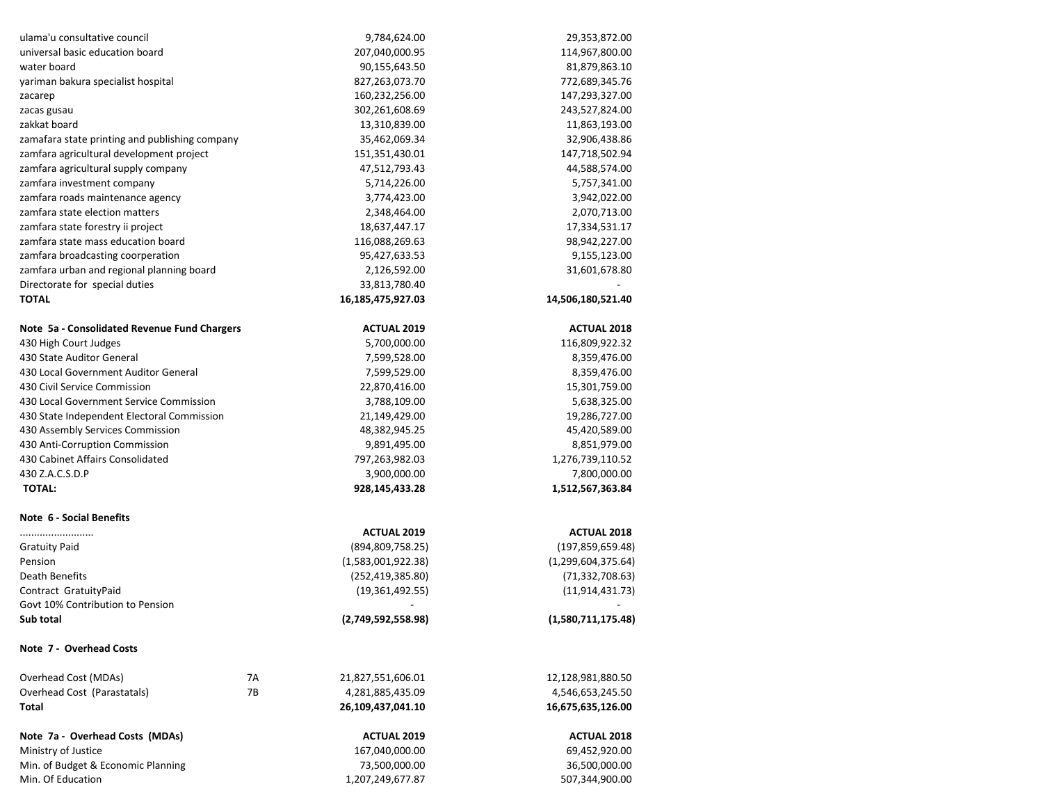| ulama'u consultative council                   |    | 9,784,624.00       | 29,353,872.00      |
|------------------------------------------------|----|--------------------|--------------------|
| universal basic education board                |    | 207,040,000.95     | 114,967,800.00     |
| water board                                    |    | 90,155,643.50      | 81,879,863.10      |
| yariman bakura specialist hospital             |    | 827,263,073.70     | 772,689,345.76     |
| zacarep                                        |    | 160,232,256.00     | 147,293,327.00     |
| zacas gusau                                    |    | 302,261,608.69     | 243,527,824.00     |
| zakkat board                                   |    | 13,310,839.00      | 11,863,193.00      |
| zamafara state printing and publishing company |    | 35,462,069.34      | 32,906,438.86      |
| zamfara agricultural development project       |    | 151,351,430.01     | 147,718,502.94     |
| zamfara agricultural supply company            |    | 47,512,793.43      | 44,588,574.00      |
| zamfara investment company                     |    | 5,714,226.00       | 5,757,341.00       |
| zamfara roads maintenance agency               |    | 3,774,423.00       | 3,942,022.00       |
| zamfara state election matters                 |    | 2,348,464.00       | 2,070,713.00       |
| zamfara state forestry ii project              |    | 18,637,447.17      | 17,334,531.17      |
| zamfara state mass education board             |    | 116,088,269.63     | 98,942,227.00      |
| zamfara broadcasting coorperation              |    | 95,427,633.53      | 9,155,123.00       |
| zamfara urban and regional planning board      |    | 2,126,592.00       | 31,601,678.80      |
| Directorate for special duties                 |    | 33,813,780.40      |                    |
| <b>TOTAL</b>                                   |    | 16,185,475,927.03  | 14,506,180,521.40  |
| Note 5a - Consolidated Revenue Fund Chargers   |    | <b>ACTUAL 2019</b> | <b>ACTUAL 2018</b> |
| 430 High Court Judges                          |    | 5,700,000.00       | 116,809,922.32     |
| 430 State Auditor General                      |    | 7,599,528.00       | 8,359,476.00       |
| 430 Local Government Auditor General           |    | 7,599,529.00       | 8,359,476.00       |
| 430 Civil Service Commission                   |    | 22,870,416.00      | 15,301,759.00      |
| 430 Local Government Service Commission        |    | 3,788,109.00       | 5,638,325.00       |
| 430 State Independent Electoral Commission     |    | 21,149,429.00      | 19,286,727.00      |
| 430 Assembly Services Commission               |    | 48,382,945.25      | 45,420,589.00      |
| 430 Anti-Corruption Commission                 |    | 9,891,495.00       | 8,851,979.00       |
| 430 Cabinet Affairs Consolidated               |    | 797,263,982.03     | 1,276,739,110.52   |
| 430 Z.A.C.S.D.P                                |    | 3,900,000.00       | 7,800,000.00       |
| <b>TOTAL:</b>                                  |    | 928,145,433.28     | 1,512,567,363.84   |
| Note 6 - Social Benefits                       |    |                    |                    |
|                                                |    | <b>ACTUAL 2019</b> | <b>ACTUAL 2018</b> |
| <b>Gratuity Paid</b>                           |    | (894, 809, 758.25) | (197, 859, 659.48) |
| Pension                                        |    | (1,583,001,922.38) | (1,299,604,375.64) |
| Death Benefits                                 |    | (252, 419, 385.80) | (71, 332, 708.63)  |
| Contract GratuityPaid                          |    | (19, 361, 492.55)  | (11, 914, 431.73)  |
| Govt 10% Contribution to Pension               |    |                    |                    |
| Sub total                                      |    | (2,749,592,558.98) | (1,580,711,175.48) |
| Note 7 - Overhead Costs                        |    |                    |                    |
| Overhead Cost (MDAs)                           | 7A | 21,827,551,606.01  | 12,128,981,880.50  |
| Overhead Cost (Parastatals)                    | 7B | 4,281,885,435.09   | 4,546,653,245.50   |
| Total                                          |    | 26,109,437,041.10  | 16,675,635,126.00  |
| Note 7a - Overhead Costs (MDAs)                |    | <b>ACTUAL 2019</b> | <b>ACTUAL 2018</b> |
| Ministry of Justice                            |    | 167,040,000.00     | 69,452,920.00      |
| Min. of Budget & Economic Planning             |    | 73,500,000.00      | 36,500,000.00      |
| Min. Of Education                              |    | 1,207,249,677.87   | 507,344,900.00     |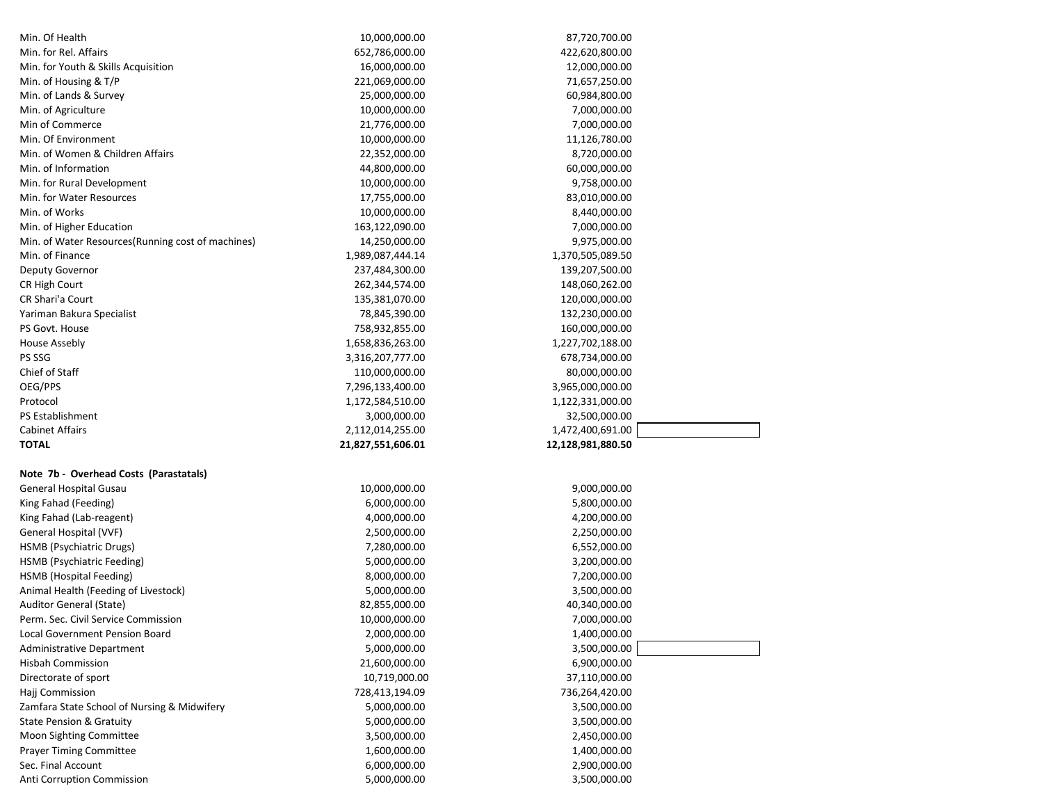| Min. Of Health                                    | 10,000,000.00     | 87,720,700.00     |
|---------------------------------------------------|-------------------|-------------------|
| Min. for Rel. Affairs                             | 652,786,000.00    | 422,620,800.00    |
| Min. for Youth & Skills Acquisition               | 16,000,000.00     | 12,000,000.00     |
| Min. of Housing & T/P                             | 221,069,000.00    | 71,657,250.00     |
| Min. of Lands & Survey                            | 25,000,000.00     | 60,984,800.00     |
| Min. of Agriculture                               | 10,000,000.00     | 7,000,000.00      |
| Min of Commerce                                   | 21,776,000.00     | 7,000,000.00      |
| Min. Of Environment                               | 10,000,000.00     | 11,126,780.00     |
| Min. of Women & Children Affairs                  | 22,352,000.00     | 8,720,000.00      |
| Min. of Information                               | 44,800,000.00     | 60,000,000.00     |
| Min. for Rural Development                        | 10,000,000.00     | 9,758,000.00      |
| Min. for Water Resources                          | 17,755,000.00     | 83,010,000.00     |
| Min. of Works                                     | 10,000,000.00     | 8,440,000.00      |
| Min. of Higher Education                          | 163,122,090.00    | 7,000,000.00      |
| Min. of Water Resources(Running cost of machines) | 14,250,000.00     | 9,975,000.00      |
| Min. of Finance                                   | 1,989,087,444.14  | 1,370,505,089.50  |
| Deputy Governor                                   | 237,484,300.00    | 139,207,500.00    |
| CR High Court                                     | 262,344,574.00    | 148,060,262.00    |
| CR Shari'a Court                                  | 135,381,070.00    | 120,000,000.00    |
| Yariman Bakura Specialist                         | 78,845,390.00     | 132,230,000.00    |
| PS Govt. House                                    | 758,932,855.00    | 160,000,000.00    |
| <b>House Assebly</b>                              | 1,658,836,263.00  | 1,227,702,188.00  |
| PS SSG                                            | 3,316,207,777.00  | 678,734,000.00    |
| Chief of Staff                                    | 110,000,000.00    | 80,000,000.00     |
| OEG/PPS                                           | 7,296,133,400.00  | 3,965,000,000.00  |
| Protocol                                          | 1,172,584,510.00  | 1,122,331,000.00  |
|                                                   |                   |                   |
|                                                   |                   |                   |
| <b>PS Establishment</b>                           | 3,000,000.00      | 32,500,000.00     |
| <b>Cabinet Affairs</b>                            | 2,112,014,255.00  | 1,472,400,691.00  |
| <b>TOTAL</b>                                      | 21,827,551,606.01 | 12,128,981,880.50 |
|                                                   |                   |                   |
| Note 7b - Overhead Costs (Parastatals)            |                   |                   |
| General Hospital Gusau                            | 10,000,000.00     | 9,000,000.00      |
| King Fahad (Feeding)                              | 6,000,000.00      | 5,800,000.00      |
| King Fahad (Lab-reagent)                          | 4,000,000.00      | 4,200,000.00      |
| General Hospital (VVF)                            | 2,500,000.00      | 2,250,000.00      |
| HSMB (Psychiatric Drugs)                          | 7,280,000.00      | 6,552,000.00      |
| HSMB (Psychiatric Feeding)                        | 5,000,000.00      | 3,200,000.00      |
| HSMB (Hospital Feeding)                           | 8,000,000.00      | 7,200,000.00      |
| Animal Health (Feeding of Livestock)              | 5,000,000.00      | 3,500,000.00      |
| Auditor General (State)                           | 82,855,000.00     | 40,340,000.00     |
| Perm. Sec. Civil Service Commission               | 10,000,000.00     | 7,000,000.00      |
| Local Government Pension Board                    | 2,000,000.00      | 1,400,000.00      |
| Administrative Department                         | 5,000,000.00      | 3,500,000.00      |
| <b>Hisbah Commission</b>                          | 21,600,000.00     | 6,900,000.00      |
| Directorate of sport                              | 10,719,000.00     | 37,110,000.00     |
| Hajj Commission                                   | 728,413,194.09    | 736,264,420.00    |
| Zamfara State School of Nursing & Midwifery       | 5,000,000.00      | 3,500,000.00      |
| <b>State Pension &amp; Gratuity</b>               | 5,000,000.00      | 3,500,000.00      |
| Moon Sighting Committee                           | 3,500,000.00      | 2,450,000.00      |
| <b>Prayer Timing Committee</b>                    | 1,600,000.00      | 1,400,000.00      |
| Sec. Final Account                                | 6,000,000.00      | 2,900,000.00      |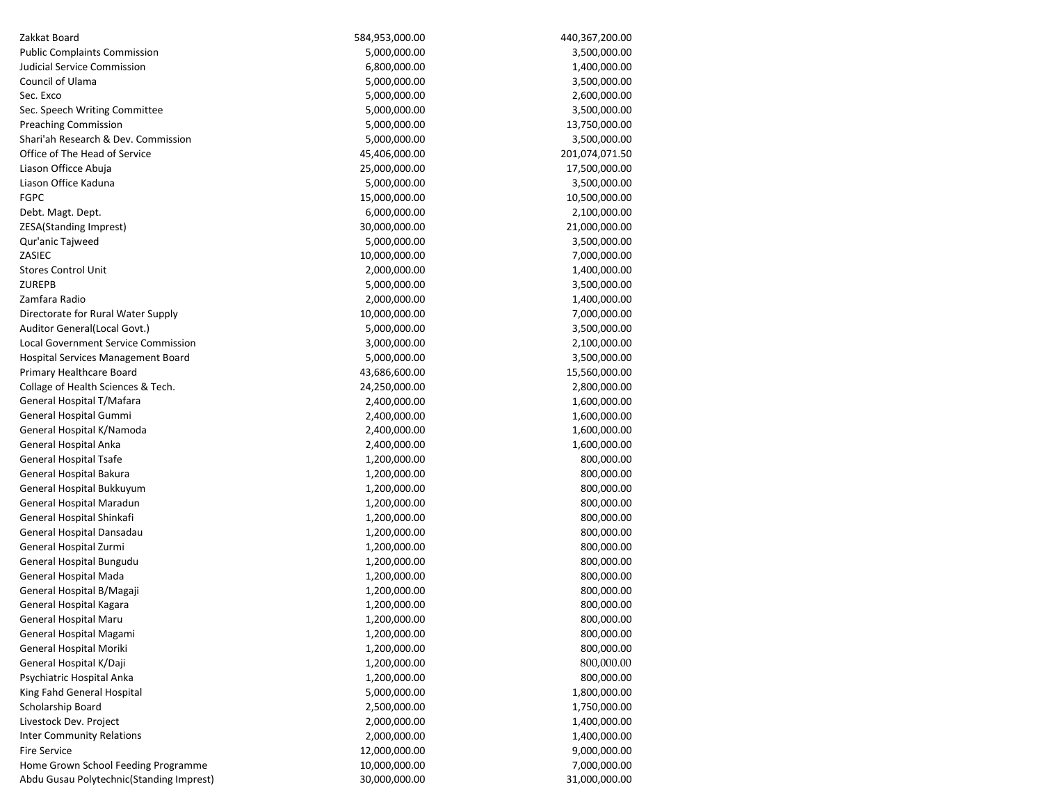| Zakkat Board                             | 584,953,000.00 | 440,367,200.00 |
|------------------------------------------|----------------|----------------|
| <b>Public Complaints Commission</b>      | 5,000,000.00   | 3,500,000.00   |
| Judicial Service Commission              | 6,800,000.00   | 1,400,000.00   |
| Council of Ulama                         | 5,000,000.00   | 3,500,000.00   |
| Sec. Exco                                | 5,000,000.00   | 2,600,000.00   |
| Sec. Speech Writing Committee            | 5,000,000.00   | 3,500,000.00   |
| <b>Preaching Commission</b>              | 5,000,000.00   | 13,750,000.00  |
| Shari'ah Research & Dev. Commission      | 5,000,000.00   | 3,500,000.00   |
| Office of The Head of Service            | 45,406,000.00  | 201,074,071.50 |
| Liason Officce Abuja                     | 25,000,000.00  | 17,500,000.00  |
| Liason Office Kaduna                     | 5,000,000.00   | 3,500,000.00   |
| <b>FGPC</b>                              | 15,000,000.00  | 10,500,000.00  |
| Debt. Magt. Dept.                        | 6,000,000.00   | 2,100,000.00   |
| ZESA(Standing Imprest)                   | 30,000,000.00  | 21,000,000.00  |
| Qur'anic Tajweed                         | 5,000,000.00   | 3,500,000.00   |
| ZASIEC                                   | 10,000,000.00  | 7,000,000.00   |
| <b>Stores Control Unit</b>               | 2,000,000.00   | 1,400,000.00   |
| <b>ZUREPB</b>                            | 5,000,000.00   | 3,500,000.00   |
| Zamfara Radio                            | 2,000,000.00   | 1,400,000.00   |
| Directorate for Rural Water Supply       | 10,000,000.00  | 7,000,000.00   |
| Auditor General(Local Govt.)             | 5,000,000.00   | 3,500,000.00   |
| Local Government Service Commission      | 3,000,000.00   | 2,100,000.00   |
| Hospital Services Management Board       | 5,000,000.00   | 3,500,000.00   |
| Primary Healthcare Board                 | 43,686,600.00  | 15,560,000.00  |
| Collage of Health Sciences & Tech.       | 24,250,000.00  | 2,800,000.00   |
| General Hospital T/Mafara                | 2,400,000.00   | 1,600,000.00   |
| General Hospital Gummi                   | 2,400,000.00   | 1,600,000.00   |
| General Hospital K/Namoda                | 2,400,000.00   | 1,600,000.00   |
| General Hospital Anka                    | 2,400,000.00   | 1,600,000.00   |
| General Hospital Tsafe                   | 1,200,000.00   | 800,000.00     |
| General Hospital Bakura                  | 1,200,000.00   | 800,000.00     |
| General Hospital Bukkuyum                | 1,200,000.00   | 800,000.00     |
| General Hospital Maradun                 | 1,200,000.00   | 800,000.00     |
| General Hospital Shinkafi                | 1,200,000.00   | 800,000.00     |
| General Hospital Dansadau                | 1,200,000.00   | 800,000.00     |
| General Hospital Zurmi                   | 1,200,000.00   | 800,000.00     |
| General Hospital Bungudu                 | 1,200,000.00   | 800,000.00     |
| General Hospital Mada                    | 1,200,000.00   | 800,000.00     |
| General Hospital B/Magaji                | 1,200,000.00   | 800,000.00     |
| General Hospital Kagara                  | 1,200,000.00   | 800,000.00     |
| General Hospital Maru                    | 1,200,000.00   | 800,000.00     |
| General Hospital Magami                  | 1,200,000.00   | 800,000.00     |
| General Hospital Moriki                  | 1,200,000.00   | 800,000.00     |
| General Hospital K/Daji                  | 1,200,000.00   | 800,000.00     |
| Psychiatric Hospital Anka                | 1,200,000.00   | 800,000.00     |
| King Fahd General Hospital               | 5,000,000.00   | 1,800,000.00   |
| Scholarship Board                        | 2,500,000.00   | 1,750,000.00   |
| Livestock Dev. Project                   | 2,000,000.00   | 1,400,000.00   |
| <b>Inter Community Relations</b>         | 2,000,000.00   | 1,400,000.00   |
| <b>Fire Service</b>                      | 12,000,000.00  | 9,000,000.00   |
| Home Grown School Feeding Programme      | 10,000,000.00  | 7,000,000.00   |
| Abdu Gusau Polytechnic(Standing Imprest) | 30,000,000.00  | 31,000,000.00  |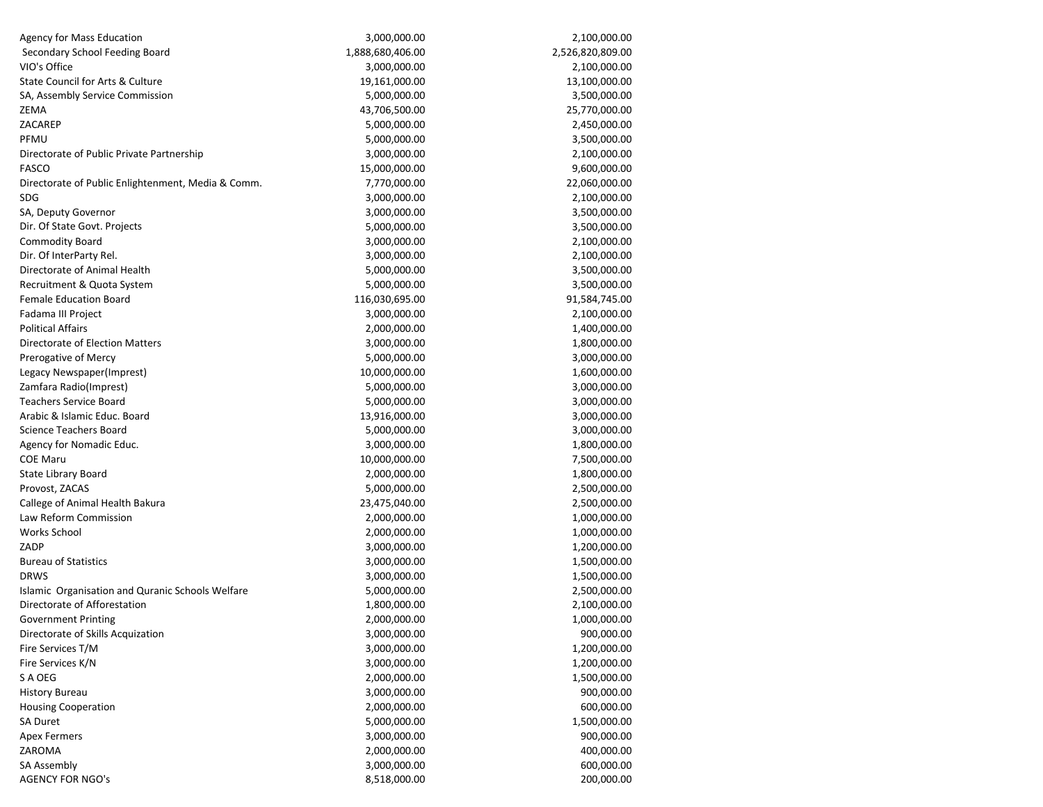| <b>Agency for Mass Education</b>                        | 3,000,000.00     | 2,100,000.00     |
|---------------------------------------------------------|------------------|------------------|
| Secondary School Feeding Board                          | 1,888,680,406.00 | 2,526,820,809.00 |
| VIO's Office                                            | 3,000,000.00     | 2,100,000.00     |
| State Council for Arts & Culture                        | 19,161,000.00    | 13,100,000.00    |
| SA, Assembly Service Commission                         | 5,000,000.00     | 3,500,000.00     |
| ZEMA                                                    | 43,706,500.00    | 25,770,000.00    |
| ZACAREP                                                 | 5,000,000.00     | 2,450,000.00     |
| PFMU                                                    | 5,000,000.00     | 3,500,000.00     |
| Directorate of Public Private Partnership               | 3,000,000.00     | 2,100,000.00     |
| FASCO                                                   | 15,000,000.00    | 9,600,000.00     |
| Directorate of Public Enlightenment, Media & Comm.      | 7,770,000.00     | 22,060,000.00    |
| SDG                                                     | 3,000,000.00     | 2,100,000.00     |
| SA, Deputy Governor                                     | 3,000,000.00     | 3,500,000.00     |
| Dir. Of State Govt. Projects                            | 5,000,000.00     | 3,500,000.00     |
| Commodity Board                                         | 3,000,000.00     | 2,100,000.00     |
| Dir. Of InterParty Rel.                                 | 3,000,000.00     | 2,100,000.00     |
| Directorate of Animal Health                            | 5,000,000.00     | 3,500,000.00     |
| Recruitment & Quota System                              | 5,000,000.00     | 3,500,000.00     |
| <b>Female Education Board</b>                           | 116,030,695.00   | 91,584,745.00    |
| Fadama III Project                                      | 3,000,000.00     | 2,100,000.00     |
| Political Affairs                                       | 2,000,000.00     | 1,400,000.00     |
| Directorate of Election Matters                         | 3,000,000.00     | 1,800,000.00     |
| Prerogative of Mercy                                    | 5,000,000.00     | 3,000,000.00     |
| Legacy Newspaper(Imprest)                               | 10,000,000.00    | 1,600,000.00     |
| Zamfara Radio(Imprest)                                  | 5,000,000.00     | 3,000,000.00     |
| <b>Teachers Service Board</b>                           | 5,000,000.00     | 3,000,000.00     |
| Arabic & Islamic Educ. Board                            | 13,916,000.00    | 3,000,000.00     |
| Science Teachers Board                                  | 5,000,000.00     | 3,000,000.00     |
| Agency for Nomadic Educ.                                | 3,000,000.00     | 1,800,000.00     |
| COE Maru                                                | 10,000,000.00    | 7,500,000.00     |
| State Library Board                                     | 2,000,000.00     | 1,800,000.00     |
| Provost, ZACAS                                          | 5,000,000.00     | 2,500,000.00     |
| Callege of Animal Health Bakura                         | 23,475,040.00    | 2,500,000.00     |
| Law Reform Commission                                   | 2,000,000.00     | 1,000,000.00     |
| Works School                                            | 2,000,000.00     | 1,000,000.00     |
| ZADP                                                    | 3,000,000.00     | 1,200,000.00     |
| <b>Bureau of Statistics</b>                             | 3,000,000.00     | 1,500,000.00     |
| DRWS                                                    | 3,000,000.00     | 1,500,000.00     |
| <b>Islamic Organisation and Quranic Schools Welfare</b> | 5,000,000.00     | 2,500,000.00     |
| Directorate of Afforestation                            | 1,800,000.00     | 2,100,000.00     |
| Government Printing                                     | 2.000.000.00     | 1,000,000.00     |
| Directorate of Skills Acquization                       | 3,000,000.00     | 900,000.00       |
| Fire Services T/M                                       | 3,000,000.00     | 1,200,000.00     |
| Fire Services K/N                                       | 3,000,000.00     | 1,200,000.00     |
| S A OEG                                                 | 2,000,000.00     | 1,500,000.00     |
| <b>History Bureau</b>                                   | 3,000,000.00     | 900,000.00       |
| <b>Housing Cooperation</b>                              | 2,000,000.00     | 600,000.00       |
| SA Duret                                                | 5,000,000.00     | 1,500,000.00     |
| <b>Apex Fermers</b>                                     | 3,000,000.00     | 900,000.00       |
| ZAROMA                                                  | 2,000,000.00     | 400,000.00       |
| SA Assembly                                             | 3,000,000.00     | 600,000.00       |
| <b>AGENCY FOR NGO's</b>                                 | 8,518,000.00     | 200,000.00       |
|                                                         |                  |                  |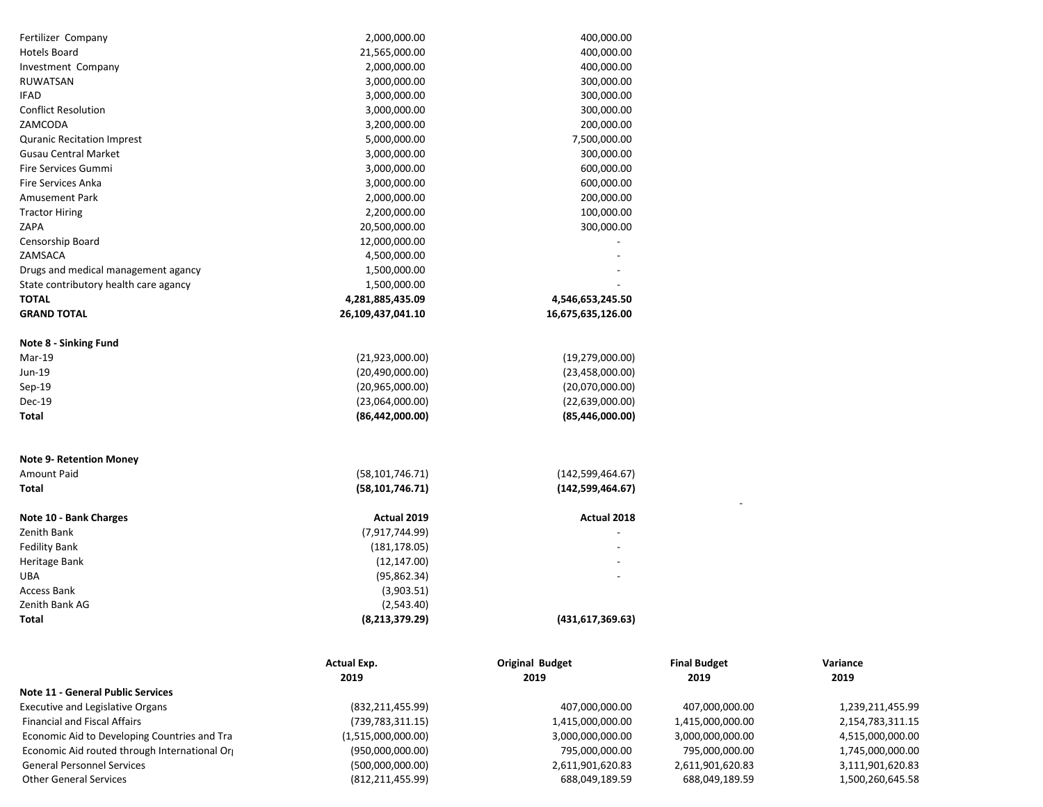| Fertilizer Company                    | 2,000,000.00      | 400,000.00         |
|---------------------------------------|-------------------|--------------------|
| Hotels Board                          | 21,565,000.00     | 400,000.00         |
| Investment Company                    | 2,000,000.00      | 400,000.00         |
| RUWATSAN                              | 3,000,000.00      | 300,000.00         |
| <b>IFAD</b>                           | 3,000,000.00      | 300,000.00         |
| <b>Conflict Resolution</b>            | 3,000,000.00      | 300,000.00         |
| ZAMCODA                               | 3,200,000.00      | 200,000.00         |
| <b>Quranic Recitation Imprest</b>     | 5,000,000.00      | 7,500,000.00       |
| <b>Gusau Central Market</b>           | 3,000,000.00      | 300,000.00         |
| <b>Fire Services Gummi</b>            | 3,000,000.00      | 600,000.00         |
| <b>Fire Services Anka</b>             | 3,000,000.00      | 600,000.00         |
| <b>Amusement Park</b>                 | 2,000,000.00      | 200,000.00         |
| <b>Tractor Hiring</b>                 | 2,200,000.00      | 100,000.00         |
| ZAPA                                  | 20,500,000.00     | 300,000.00         |
| Censorship Board                      | 12,000,000.00     |                    |
| ZAMSACA                               | 4,500,000.00      |                    |
| Drugs and medical management agancy   | 1,500,000.00      |                    |
| State contributory health care agancy | 1,500,000.00      |                    |
| <b>TOTAL</b>                          | 4,281,885,435.09  | 4,546,653,245.50   |
| <b>GRAND TOTAL</b>                    | 26,109,437,041.10 | 16,675,635,126.00  |
| Note 8 - Sinking Fund                 |                   |                    |
| Mar-19                                | (21,923,000.00)   | (19, 279, 000.00)  |
| Jun-19                                | (20,490,000.00)   | (23, 458, 000.00)  |
| $Sep-19$                              | (20,965,000.00)   | (20,070,000.00)    |
| Dec-19                                | (23,064,000.00)   | (22,639,000.00)    |
| Total                                 | (86, 442, 000.00) | (85,446,000.00)    |
| <b>Note 9- Retention Money</b>        |                   |                    |
| Amount Paid                           | (58, 101, 746.71) | (142, 599, 464.67) |
| Total                                 | (58, 101, 746.71) | (142,599,464.67)   |
| Note 10 - Bank Charges                | Actual 2019       | <b>Actual 2018</b> |
| Zenith Bank                           | (7,917,744.99)    |                    |
| Fedility Bank                         | (181, 178.05)     |                    |
| Heritage Bank                         | (12, 147.00)      |                    |
| <b>UBA</b>                            | (95,862.34)       |                    |
| <b>Access Bank</b>                    | (3,903.51)        |                    |
| Zenith Bank AG                        | (2,543.40)        |                    |
| Total                                 | (8, 213, 379.29)  | (431,617,369.63)   |

|                                               | <b>Actual Exp.</b> | <b>Original Budget</b> | <b>Final Budget</b> | Variance         |
|-----------------------------------------------|--------------------|------------------------|---------------------|------------------|
|                                               | 2019               | 2019                   | 2019                | 2019             |
| <b>Note 11 - General Public Services</b>      |                    |                        |                     |                  |
| Executive and Legislative Organs              | (832, 211, 455.99) | 407,000,000.00         | 407,000,000.00      | 1,239,211,455.99 |
| <b>Financial and Fiscal Affairs</b>           | (739, 783, 311.15) | 1,415,000,000.00       | 1,415,000,000.00    | 2,154,783,311.15 |
| Economic Aid to Developing Countries and Tra  | (1,515,000,000.00) | 3,000,000,000.00       | 3,000,000,000.00    | 4,515,000,000.00 |
| Economic Aid routed through International Org | (950,000,000.00)   | 795,000,000.00         | 795,000,000.00      | 1,745,000,000.00 |
| <b>General Personnel Services</b>             | (500,000,000.00)   | 2,611,901,620.83       | 2,611,901,620.83    | 3,111,901,620.83 |
| <b>Other General Services</b>                 | (812, 211, 455.99) | 688,049,189.59         | 688,049,189.59      | 1,500,260,645.58 |

 $\mathcal{L}^{\mathcal{L}}(\mathcal{L}^{\mathcal{L}})$  and  $\mathcal{L}^{\mathcal{L}}(\mathcal{L}^{\mathcal{L}})$  and  $\mathcal{L}^{\mathcal{L}}(\mathcal{L}^{\mathcal{L}})$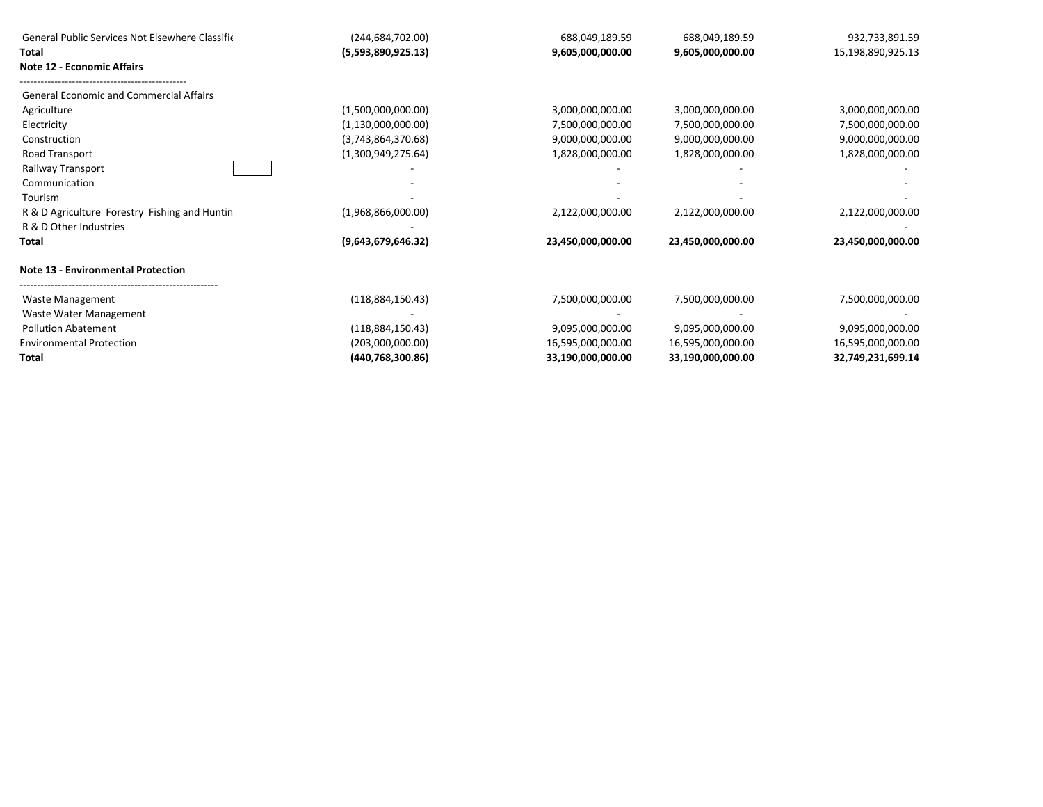| General Public Services Not Elsewhere Classifie | (244, 684, 702.00) | 688,049,189.59    | 688,049,189.59    | 932,733,891.59    |
|-------------------------------------------------|--------------------|-------------------|-------------------|-------------------|
| Total                                           | (5,593,890,925.13) | 9,605,000,000.00  | 9,605,000,000.00  | 15,198,890,925.13 |
| <b>Note 12 - Economic Affairs</b>               |                    |                   |                   |                   |
| <b>General Economic and Commercial Affairs</b>  |                    |                   |                   |                   |
| Agriculture                                     | (1,500,000,000.00) | 3,000,000,000.00  | 3,000,000,000.00  | 3,000,000,000.00  |
| Electricity                                     | (1,130,000,000.00) | 7,500,000,000.00  | 7,500,000,000.00  | 7,500,000,000.00  |
| Construction                                    | (3,743,864,370.68) | 9,000,000,000.00  | 9,000,000,000.00  | 9,000,000,000.00  |
| Road Transport                                  | (1,300,949,275.64) | 1,828,000,000.00  | 1,828,000,000.00  | 1,828,000,000.00  |
| Railway Transport                               |                    |                   |                   |                   |
| Communication                                   |                    |                   |                   |                   |
| Tourism                                         |                    |                   |                   |                   |
| R & D Agriculture Forestry Fishing and Huntin   | (1,968,866,000.00) | 2,122,000,000.00  | 2,122,000,000.00  | 2,122,000,000.00  |
| R & D Other Industries                          |                    |                   |                   |                   |
| Total                                           | (9,643,679,646.32) | 23,450,000,000.00 | 23,450,000,000.00 | 23,450,000,000.00 |
| <b>Note 13 - Environmental Protection</b>       |                    |                   |                   |                   |
| Waste Management                                | (118,884,150.43)   | 7,500,000,000.00  | 7,500,000,000.00  | 7,500,000,000.00  |
| Waste Water Management                          |                    |                   |                   |                   |
| <b>Pollution Abatement</b>                      | (118,884,150.43)   | 9,095,000,000.00  | 9,095,000,000.00  | 9,095,000,000.00  |
| <b>Environmental Protection</b>                 | (203,000,000.00)   | 16,595,000,000.00 | 16,595,000,000.00 | 16,595,000,000.00 |
| <b>Total</b>                                    | (440,768,300.86)   | 33,190,000,000.00 | 33,190,000,000.00 | 32,749,231,699.14 |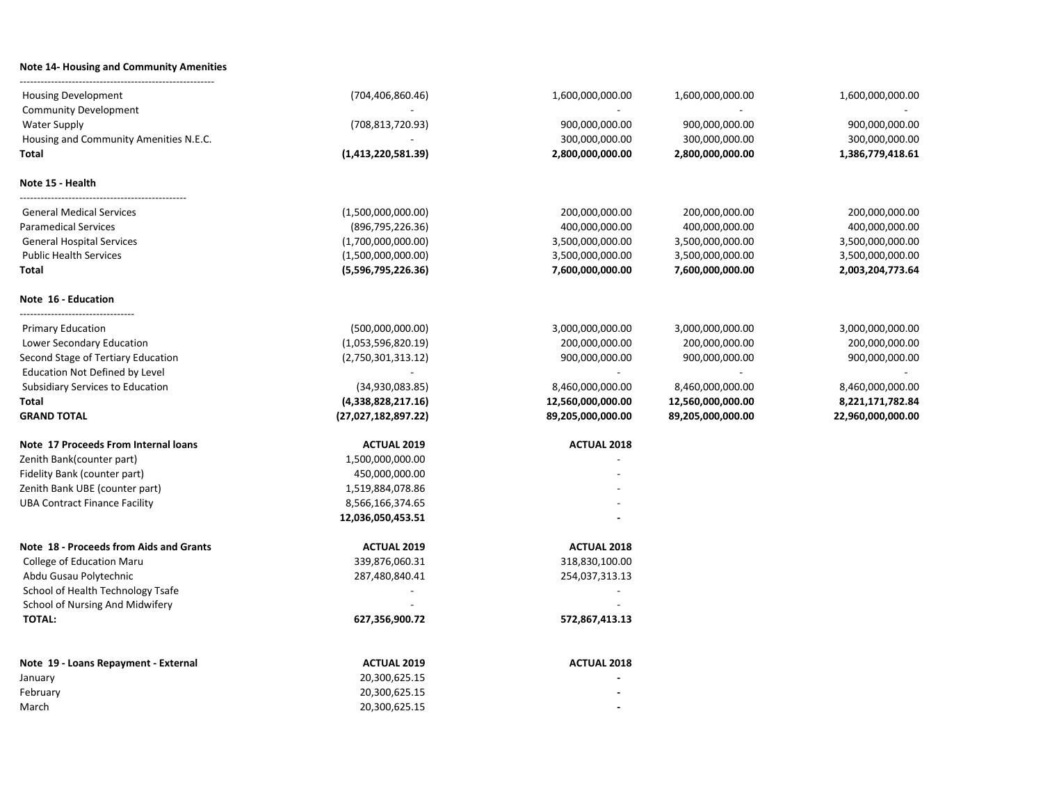## **Note 14- Housing and Community Amenities** --------------------------------------------------------

| <b>Housing Development</b>                              | (704, 406, 860.46)  | 1,600,000,000.00   | 1,600,000,000.00  | 1,600,000,000.00  |
|---------------------------------------------------------|---------------------|--------------------|-------------------|-------------------|
| <b>Community Development</b>                            |                     |                    |                   |                   |
| <b>Water Supply</b>                                     | (708, 813, 720.93)  | 900,000,000.00     | 900,000,000.00    | 900,000,000.00    |
| Housing and Community Amenities N.E.C.                  |                     | 300,000,000.00     | 300,000,000.00    | 300,000,000.00    |
| Total                                                   | (1,413,220,581.39)  | 2,800,000,000.00   | 2,800,000,000.00  | 1,386,779,418.61  |
| Note 15 - Health                                        |                     |                    |                   |                   |
| <b>General Medical Services</b>                         | (1,500,000,000.00)  | 200,000,000.00     | 200,000,000.00    | 200,000,000.00    |
| <b>Paramedical Services</b>                             | (896, 795, 226.36)  | 400,000,000.00     | 400,000,000.00    | 400,000,000.00    |
| <b>General Hospital Services</b>                        | (1,700,000,000.00)  | 3,500,000,000.00   | 3,500,000,000.00  | 3,500,000,000.00  |
| <b>Public Health Services</b>                           | (1,500,000,000.00)  | 3,500,000,000.00   | 3,500,000,000.00  | 3,500,000,000.00  |
| Total                                                   | (5,596,795,226.36)  | 7,600,000,000.00   | 7,600,000,000.00  | 2,003,204,773.64  |
| Note 16 - Education<br>-------------------------------- |                     |                    |                   |                   |
| <b>Primary Education</b>                                | (500,000,000.00)    | 3,000,000,000.00   | 3,000,000,000.00  | 3,000,000,000.00  |
| Lower Secondary Education                               | (1,053,596,820.19)  | 200,000,000.00     | 200,000,000.00    | 200,000,000.00    |
| Second Stage of Tertiary Education                      | (2,750,301,313.12)  | 900,000,000.00     | 900,000,000.00    | 900,000,000.00    |
| Education Not Defined by Level                          |                     |                    |                   |                   |
| Subsidiary Services to Education                        | (34,930,083.85)     | 8,460,000,000.00   | 8,460,000,000.00  | 8,460,000,000.00  |
| Total                                                   | (4,338,828,217.16)  | 12,560,000,000.00  | 12,560,000,000.00 | 8,221,171,782.84  |
| <b>GRAND TOTAL</b>                                      | (27,027,182,897.22) | 89,205,000,000.00  | 89,205,000,000.00 | 22,960,000,000.00 |
| Note 17 Proceeds From Internal loans                    | <b>ACTUAL 2019</b>  | <b>ACTUAL 2018</b> |                   |                   |
| Zenith Bank(counter part)                               | 1,500,000,000.00    |                    |                   |                   |
| Fidelity Bank (counter part)                            | 450,000,000.00      |                    |                   |                   |
| Zenith Bank UBE (counter part)                          | 1,519,884,078.86    |                    |                   |                   |
| <b>UBA Contract Finance Facility</b>                    | 8,566,166,374.65    |                    |                   |                   |
|                                                         | 12,036,050,453.51   |                    |                   |                   |
| Note 18 - Proceeds from Aids and Grants                 | <b>ACTUAL 2019</b>  | <b>ACTUAL 2018</b> |                   |                   |
| College of Education Maru                               | 339,876,060.31      | 318,830,100.00     |                   |                   |
| Abdu Gusau Polytechnic                                  | 287,480,840.41      | 254,037,313.13     |                   |                   |
| School of Health Technology Tsafe                       |                     |                    |                   |                   |
| School of Nursing And Midwifery                         |                     |                    |                   |                   |
| <b>TOTAL:</b>                                           | 627,356,900.72      | 572,867,413.13     |                   |                   |
| Note 19 - Loans Repayment - External                    | <b>ACTUAL 2019</b>  | <b>ACTUAL 2018</b> |                   |                   |
| January                                                 | 20,300,625.15       |                    |                   |                   |
| February                                                | 20,300,625.15       |                    |                   |                   |
| March                                                   | 20,300,625.15       |                    |                   |                   |
|                                                         |                     |                    |                   |                   |